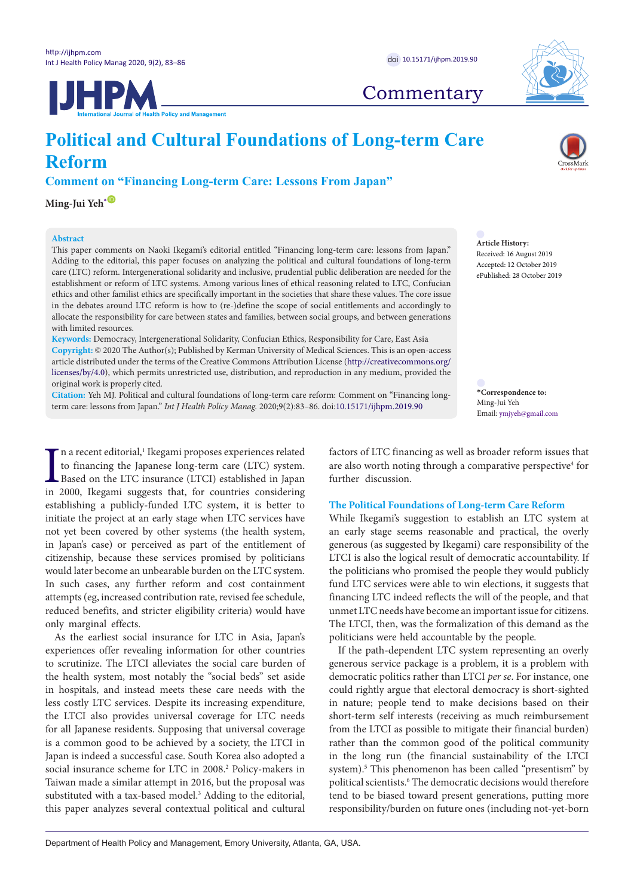**UHPM** 



## **Commentary**

# **Political and Cultural Foundations of Long-term Care Reform**

**Comment on "Financing Long-term Care: Lessons From Japan"**

**Ming-Jui Yeh**<sup>[\\*](#page-0-0)  $\bullet$ </sup>

#### **Abstract**

This paper comments on Naoki Ikegami's editorial entitled "Financing long-term care: lessons from Japan." Adding to the editorial, this paper focuses on analyzing the political and cultural foundations of long-term care (LTC) reform. Intergenerational solidarity and inclusive, prudential public deliberation are needed for the establishment or reform of LTC systems. Among various lines of ethical reasoning related to LTC, Confucian ethics and other familist ethics are specifically important in the societies that share these values. The core issue in the debates around LTC reform is how to (re-)define the scope of social entitlements and accordingly to allocate the responsibility for care between states and families, between social groups, and between generations with limited resources.

**Keywords:** Democracy, Intergenerational Solidarity, Confucian Ethics, Responsibility for Care, East Asia **Copyright:** © 2020 The Author(s); Published by Kerman University of Medical Sciences. This is an open-access article distributed under the terms of the Creative Commons Attribution License [\(http://creativecommons.org/](http://creativecommons.org/licenses/by/4.0) [licenses/by/4.0](http://creativecommons.org/licenses/by/4.0)), which permits unrestricted use, distribution, and reproduction in any medium, provided the original work is properly cited.

**Citation:** Yeh MJ. Political and cultural foundations of long-term care reform: Comment on "Financing longterm care: lessons from Japan." *Int J Health Policy Manag.* 2020;9(2):83–86. doi[:10.15171/ijhpm.2019.90](https://doi.org/10.15171/ijhpm.2019.90)

In a recent editorial,<sup>1</sup> Ikegami proposes experiences related to financing the Japanese long-term care (LTC) system.<br>Based on the LTC insurance (LTCI) established in Japan in 2000, Ikegami suggests that, for countries con n a recent editorial,<sup>1</sup> Ikegami proposes experiences related to financing the Japanese long-term care (LTC) system. Based on the LTC insurance (LTCI) established in Japan establishing a publicly-funded LTC system, it is better to initiate the project at an early stage when LTC services have not yet been covered by other systems (the health system, in Japan's case) or perceived as part of the entitlement of citizenship, because these services promised by politicians would later become an unbearable burden on the LTC system. In such cases, any further reform and cost containment attempts (eg, increased contribution rate, revised fee schedule, reduced benefits, and stricter eligibility criteria) would have only marginal effects.

As the earliest social insurance for LTC in Asia, Japan's experiences offer revealing information for other countries to scrutinize. The LTCI alleviates the social care burden of the health system, most notably the "social beds" set aside in hospitals, and instead meets these care needs with the less costly LTC services. Despite its increasing expenditure, the LTCI also provides universal coverage for LTC needs for all Japanese residents. Supposing that universal coverage is a common good to be achieved by a society, the LTCI in Japan is indeed a successful case. South Korea also adopted a social insurance scheme for LTC in 2008.<sup>2</sup> Policy-makers in Taiwan made a similar attempt in 2016, but the proposal was substituted with a tax-based model.<sup>3</sup> Adding to the editorial, this paper analyzes several contextual political and cultural

**Article History:** Received: 16 August 2019

Accepted: 12 October 2019 ePublished: 28 October 2019

<span id="page-0-0"></span>**\*Correspondence to:** Ming-Jui Yeh Email: ymjyeh@gmail.com

factors of LTC financing as well as broader reform issues that are also worth noting through a comparative perspective<sup>4</sup> for further discussion.

## **The Political Foundations of Long-term Care Reform**

While Ikegami's suggestion to establish an LTC system at an early stage seems reasonable and practical, the overly generous (as suggested by Ikegami) care responsibility of the LTCI is also the logical result of democratic accountability. If the politicians who promised the people they would publicly fund LTC services were able to win elections, it suggests that financing LTC indeed reflects the will of the people, and that unmet LTC needs have become an important issue for citizens. The LTCI, then, was the formalization of this demand as the politicians were held accountable by the people.

If the path-dependent LTC system representing an overly generous service package is a problem, it is a problem with democratic politics rather than LTCI *per se*. For instance, one could rightly argue that electoral democracy is short-sighted in nature; people tend to make decisions based on their short-term self interests (receiving as much reimbursement from the LTCI as possible to mitigate their financial burden) rather than the common good of the political community in the long run (the financial sustainability of the LTCI system).<sup>5</sup> This phenomenon has been called "presentism" by political scientists.<sup>6</sup> The democratic decisions would therefore tend to be biased toward present generations, putting more responsibility/burden on future ones (including not-yet-born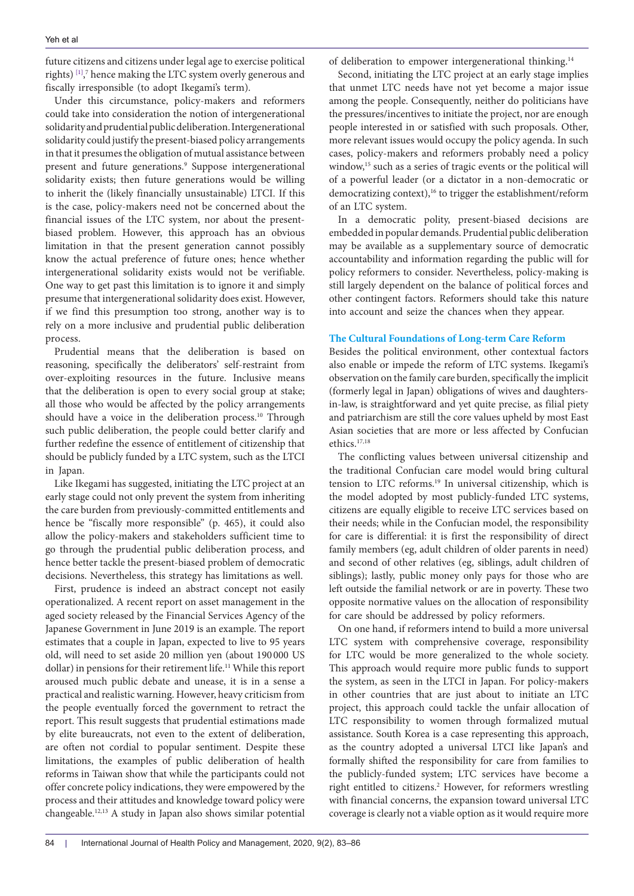future citizens and citizens under legal age to exercise political rights) [\[1\],](#page-2-0) 7 hence making the LTC system overly generous and fiscally irresponsible (to adopt Ikegami's term).

Under this circumstance, policy-makers and reformers could take into consideration the notion of intergenerational solidarity and prudential public deliberation. Intergenerational solidarity could justify the present-biased policy arrangements in that it presumes the obligation of mutual assistance between present and future generations.<sup>9</sup> Suppose intergenerational solidarity exists; then future generations would be willing to inherit the (likely financially unsustainable) LTCI. If this is the case, policy-makers need not be concerned about the financial issues of the LTC system, nor about the presentbiased problem. However, this approach has an obvious limitation in that the present generation cannot possibly know the actual preference of future ones; hence whether intergenerational solidarity exists would not be verifiable. One way to get past this limitation is to ignore it and simply presume that intergenerational solidarity does exist. However, if we find this presumption too strong, another way is to rely on a more inclusive and prudential public deliberation process.

Prudential means that the deliberation is based on reasoning, specifically the deliberators' self-restraint from over-exploiting resources in the future. Inclusive means that the deliberation is open to every social group at stake; all those who would be affected by the policy arrangements should have a voice in the deliberation process.<sup>10</sup> Through such public deliberation, the people could better clarify and further redefine the essence of entitlement of citizenship that should be publicly funded by a LTC system, such as the LTCI in Japan.

Like Ikegami has suggested, initiating the LTC project at an early stage could not only prevent the system from inheriting the care burden from previously-committed entitlements and hence be "fiscally more responsible" (p. 465), it could also allow the policy-makers and stakeholders sufficient time to go through the prudential public deliberation process, and hence better tackle the present-biased problem of democratic decisions. Nevertheless, this strategy has limitations as well.

First, prudence is indeed an abstract concept not easily operationalized. A recent report on asset management in the aged society released by the Financial Services Agency of the Japanese Government in June 2019 is an example. The report estimates that a couple in Japan, expected to live to 95 years old, will need to set aside 20 million yen (about 190 000 US dollar) in pensions for their retirement life.<sup>11</sup> While this report aroused much public debate and unease, it is in a sense a practical and realistic warning. However, heavy criticism from the people eventually forced the government to retract the report. This result suggests that prudential estimations made by elite bureaucrats, not even to the extent of deliberation, are often not cordial to popular sentiment. Despite these limitations, the examples of public deliberation of health reforms in Taiwan show that while the participants could not offer concrete policy indications, they were empowered by the process and their attitudes and knowledge toward policy were changeable.12,13 A study in Japan also shows similar potential of deliberation to empower intergenerational thinking.<sup>14</sup>

Second, initiating the LTC project at an early stage implies that unmet LTC needs have not yet become a major issue among the people. Consequently, neither do politicians have the pressures/incentives to initiate the project, nor are enough people interested in or satisfied with such proposals. Other, more relevant issues would occupy the policy agenda. In such cases, policy-makers and reformers probably need a policy window,<sup>15</sup> such as a series of tragic events or the political will of a powerful leader (or a dictator in a non-democratic or democratizing context),<sup>16</sup> to trigger the establishment/reform of an LTC system.

In a democratic polity, present-biased decisions are embedded in popular demands. Prudential public deliberation may be available as a supplementary source of democratic accountability and information regarding the public will for policy reformers to consider. Nevertheless, policy-making is still largely dependent on the balance of political forces and other contingent factors. Reformers should take this nature into account and seize the chances when they appear.

## **The Cultural Foundations of Long-term Care Reform**

Besides the political environment, other contextual factors also enable or impede the reform of LTC systems. Ikegami's observation on the family care burden, specifically the implicit (formerly legal in Japan) obligations of wives and daughtersin-law, is straightforward and yet quite precise, as filial piety and patriarchism are still the core values upheld by most East Asian societies that are more or less affected by Confucian ethics.17,18

The conflicting values between universal citizenship and the traditional Confucian care model would bring cultural tension to LTC reforms.19 In universal citizenship, which is the model adopted by most publicly-funded LTC systems, citizens are equally eligible to receive LTC services based on their needs; while in the Confucian model, the responsibility for care is differential: it is first the responsibility of direct family members (eg, adult children of older parents in need) and second of other relatives (eg, siblings, adult children of siblings); lastly, public money only pays for those who are left outside the familial network or are in poverty. These two opposite normative values on the allocation of responsibility for care should be addressed by policy reformers.

On one hand, if reformers intend to build a more universal LTC system with comprehensive coverage, responsibility for LTC would be more generalized to the whole society. This approach would require more public funds to support the system, as seen in the LTCI in Japan. For policy-makers in other countries that are just about to initiate an LTC project, this approach could tackle the unfair allocation of LTC responsibility to women through formalized mutual assistance. South Korea is a case representing this approach, as the country adopted a universal LTCI like Japan's and formally shifted the responsibility for care from families to the publicly-funded system; LTC services have become a right entitled to citizens.<sup>2</sup> However, for reformers wrestling with financial concerns, the expansion toward universal LTC coverage is clearly not a viable option as it would require more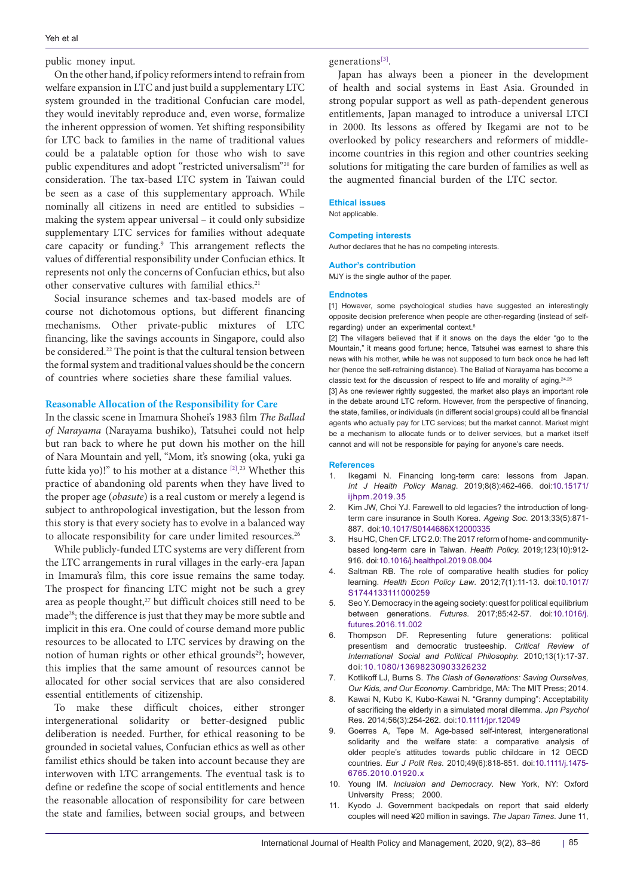public money input.

On the other hand, if policy reformers intend to refrain from welfare expansion in LTC and just build a supplementary LTC system grounded in the traditional Confucian care model, they would inevitably reproduce and, even worse, formalize the inherent oppression of women. Yet shifting responsibility for LTC back to families in the name of traditional values could be a palatable option for those who wish to save public expenditures and adopt "restricted universalism"20 for consideration. The tax-based LTC system in Taiwan could be seen as a case of this supplementary approach. While nominally all citizens in need are entitled to subsidies – making the system appear universal – it could only subsidize supplementary LTC services for families without adequate care capacity or funding.<sup>9</sup> This arrangement reflects the values of differential responsibility under Confucian ethics. It represents not only the concerns of Confucian ethics, but also other conservative cultures with familial ethics.<sup>21</sup>

Social insurance schemes and tax-based models are of course not dichotomous options, but different financing mechanisms. Other private-public mixtures of LTC financing, like the savings accounts in Singapore, could also be considered.<sup>22</sup> The point is that the cultural tension between the formal system and traditional values should be the concern of countries where societies share these familial values.

## **Reasonable Allocation of the Responsibility for Care**

In the classic scene in Imamura Shohei's 1983 film *The Ballad of Narayama* (Narayama bushiko), Tatsuhei could not help but ran back to where he put down his mother on the hill of Nara Mountain and yell, "Mom, it's snowing (oka, yuki ga futte kida yo)!" to his mother at a distance [\[2\].](#page-2-1) 23 Whether this practice of abandoning old parents when they have lived to the proper age (*obasute*) is a real custom or merely a legend is subject to anthropological investigation, but the lesson from this story is that every society has to evolve in a balanced way to allocate responsibility for care under limited resources.<sup>26</sup>

While publicly-funded LTC systems are very different from the LTC arrangements in rural villages in the early-era Japan in Imamura's film, this core issue remains the same today. The prospect for financing LTC might not be such a grey area as people thought,<sup>27</sup> but difficult choices still need to be made28; the difference is just that they may be more subtle and implicit in this era. One could of course demand more public resources to be allocated to LTC services by drawing on the notion of human rights or other ethical grounds<sup>29</sup>; however, this implies that the same amount of resources cannot be allocated for other social services that are also considered essential entitlements of citizenship.

To make these difficult choices, either stronger intergenerational solidarity or better-designed public deliberation is needed. Further, for ethical reasoning to be grounded in societal values, Confucian ethics as well as other familist ethics should be taken into account because they are interwoven with LTC arrangements. The eventual task is to define or redefine the scope of social entitlements and hence the reasonable allocation of responsibility for care between the state and families, between social groups, and between

generations[\[3\].](#page-2-2)

Japan has always been a pioneer in the development of health and social systems in East Asia. Grounded in strong popular support as well as path-dependent generous entitlements, Japan managed to introduce a universal LTCI in 2000. Its lessons as offered by Ikegami are not to be overlooked by policy researchers and reformers of middleincome countries in this region and other countries seeking solutions for mitigating the care burden of families as well as the augmented financial burden of the LTC sector.

## **Ethical issues**

Not applicable.

#### **Competing interests**

Author declares that he has no competing interests.

#### **Author's contribution** MJY is the single author of the paper.

#### **Endnotes**

<span id="page-2-0"></span>[1] However, some psychological studies have suggested an interestingly opposite decision preference when people are other-regarding (instead of selfregarding) under an experimental context.8

<span id="page-2-1"></span>[2] The villagers believed that if it snows on the days the elder "go to the Mountain," it means good fortune; hence, Tatsuhei was earnest to share this news with his mother, while he was not supposed to turn back once he had left her (hence the self-refraining distance). The Ballad of Narayama has become a classic text for the discussion of respect to life and morality of aging.24,25

<span id="page-2-2"></span>[3] As one reviewer rightly suggested, the market also plays an important role in the debate around LTC reform. However, from the perspective of financing, the state, families, or individuals (in different social groups) could all be financial agents who actually pay for LTC services; but the market cannot. Market might be a mechanism to allocate funds or to deliver services, but a market itself cannot and will not be responsible for paying for anyone's care needs.

#### **References**

- 1. Ikegami N. Financing long-term care: lessons from Japan. *Int J Health Policy Manag*. 2019;8(8):462-466. doi:[10.15171/](https://doi.org/10.15171/ijhpm.2019.35) [ijhpm.2019.35](https://doi.org/10.15171/ijhpm.2019.35)
- 2. Kim JW, Choi YJ. Farewell to old legacies? the introduction of longterm care insurance in South Korea. *Ageing Soc*. 2013;33(5):871- 887. doi:[10.1017/S0144686X12000335](https://doi.org/10.1017/S0144686X12000335)
- 3. Hsu HC, Chen CF. LTC 2.0: The 2017 reform of home- and communitybased long-term care in Taiwan. *Health Policy.* 2019;123(10):912- 916. doi[:10.1016/j.healthpol.2019.08.004](https://doi.org/10.1016/j.healthpol.2019.08.004)
- 4. Saltman RB. The role of comparative health studies for policy learning. *Health Econ Policy Law*. 2012;7(1):11-13. doi[:10.1017/](https://doi.org/10.1017/S1744133111000259) [S1744133111000259](https://doi.org/10.1017/S1744133111000259)
- 5. Seo Y. Democracy in the ageing society: quest for political equilibrium between generations. *Futures*. 2017;85:42-57. doi[:10.1016/j.](https://doi.org/10.1016/j.futures.2016.11.002) [futures.2016.11.002](https://doi.org/10.1016/j.futures.2016.11.002)
- 6. Thompson DF. Representing future generations: political presentism and democratic trusteeship. *Critical Review of International Social and Political Philosophy.* 2010;13(1):17-37. doi:[10.1080/13698230903326232](https://doi.org/10.1080/13698230903326232)
- 7. Kotlikoff LJ, Burns S. *The Clash of Generations: Saving Ourselves, Our Kids, and Our Economy*. Cambridge, MA: The MIT Press; 2014.
- 8. Kawai N, Kubo K, Kubo-Kawai N. "Granny dumping": Acceptability of sacrificing the elderly in a simulated moral dilemma. *Jpn Psychol* Res. 2014;56(3):254-262. doi[:10.1111/jpr.12049](https://doi.org/10.1111/jpr.12049)
- Goerres A, Tepe M. Age-based self-interest, intergenerational solidarity and the welfare state: a comparative analysis of older people's attitudes towards public childcare in 12 OECD countries. *Eur J Polit Res*. 2010;49(6):818-851. doi:[10.1111/j.1475-](https://doi.org/10.1111/j.1475-6765.2010.01920.x) [6765.2010.01920.x](https://doi.org/10.1111/j.1475-6765.2010.01920.x)
- 10. Young IM. *Inclusion and Democracy*. New York, NY: Oxford University Press; 2000.
- 11. Kyodo J. Government backpedals on report that said elderly couples will need ¥20 million in savings. *The Japan Times*. June 11,